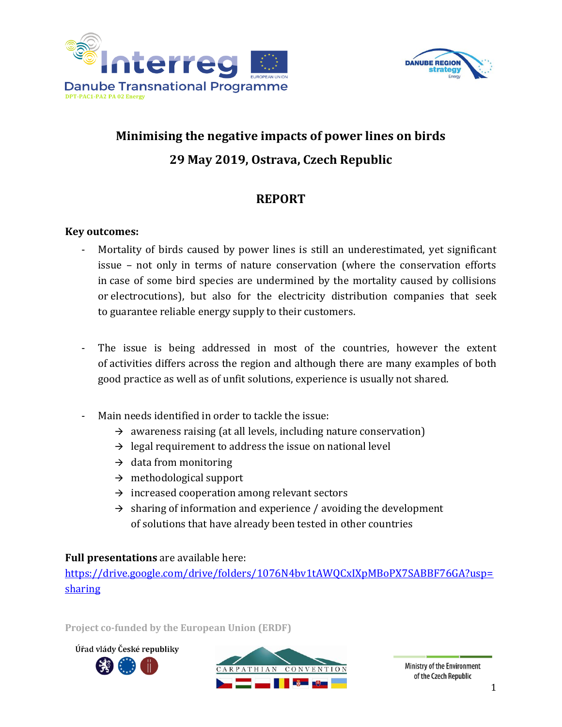



# **Minimising the negative impacts of power lines on birds 29 May 2019, Ostrava, Czech Republic**

## **REPORT**

#### **Key outcomes:**

- Mortality of birds caused by power lines is still an underestimated, yet significant issue – not only in terms of nature conservation (where the conservation efforts in case of some bird species are undermined by the mortality caused by collisions or electrocutions), but also for the electricity distribution companies that seek to guarantee reliable energy supply to their customers.
- The issue is being addressed in most of the countries, however the extent of activities differs across the region and although there are many examples of both good practice as well as of unfit solutions, experience is usually not shared.
- Main needs identified in order to tackle the issue:
	- $\rightarrow$  awareness raising (at all levels, including nature conservation)
	- $\rightarrow$  legal requirement to address the issue on national level
	- $\rightarrow$  data from monitoring
	- $\rightarrow$  methodological support
	- $\rightarrow$  increased cooperation among relevant sectors
	- $\rightarrow$  sharing of information and experience / avoiding the development of solutions that have already been tested in other countries

#### **Full presentations** are available here:

[https://drive.google.com/drive/folders/1076N4bv1tAWQCxIXpMBoPX7SABBF76GA?usp=](https://drive.google.com/drive/folders/1076N4bv1tAWQCxIXpMBoPX7SABBF76GA?usp=sharing) [sharing](https://drive.google.com/drive/folders/1076N4bv1tAWQCxIXpMBoPX7SABBF76GA?usp=sharing)

**Project co-funded by the European Union (ERDF)**

Úřad vlády České republiky

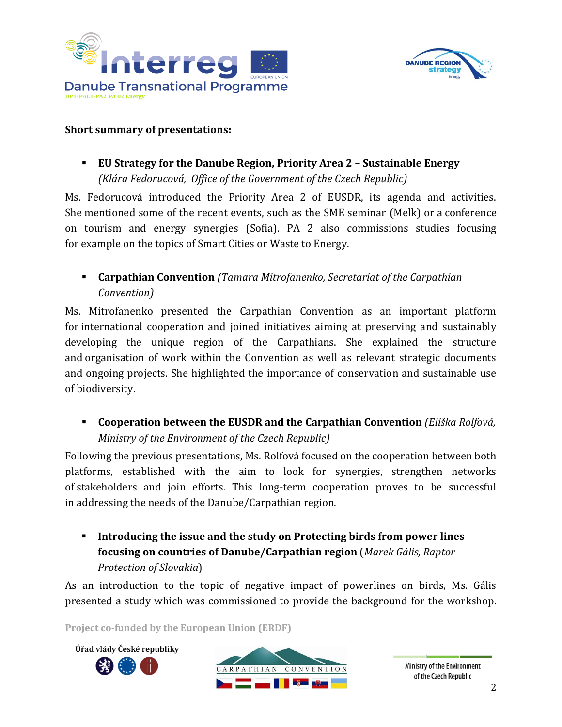



#### **Short summary of presentations:**

▪ **EU Strategy for the Danube Region, Priority Area 2 – Sustainable Energy** *(Klára Fedorucová, Office of the Government of the Czech Republic)*

Ms. Fedorucová introduced the Priority Area 2 of EUSDR, its agenda and activities. She mentioned some of the recent events, such as the SME seminar (Melk) or a conference on tourism and energy synergies (Sofia). PA 2 also commissions studies focusing for example on the topics of Smart Cities or Waste to Energy.

▪ **Carpathian Convention** *(Tamara Mitrofanenko, Secretariat of the Carpathian Convention)*

Ms. Mitrofanenko presented the Carpathian Convention as an important platform for international cooperation and joined initiatives aiming at preserving and sustainably developing the unique region of the Carpathians. She explained the structure and organisation of work within the Convention as well as relevant strategic documents and ongoing projects. She highlighted the importance of conservation and sustainable use of biodiversity.

▪ **Cooperation between the EUSDR and the Carpathian Convention** *(Eliška Rolfová, Ministry of the Environment of the Czech Republic)*

Following the previous presentations, Ms. Rolfová focused on the cooperation between both platforms, established with the aim to look for synergies, strengthen networks of stakeholders and join efforts. This long-term cooperation proves to be successful in addressing the needs of the Danube/Carpathian region.

▪ **Introducing the issue and the study on Protecting birds from power lines focusing on countries of Danube/Carpathian region** (*Marek Gális, Raptor Protection of Slovakia*)

As an introduction to the topic of negative impact of powerlines on birds, Ms. Gális presented a study which was commissioned to provide the background for the workshop.

**Project co-funded by the European Union (ERDF)**

Úřad vlády České republiky



Ministry of the Environment of the Czech Republic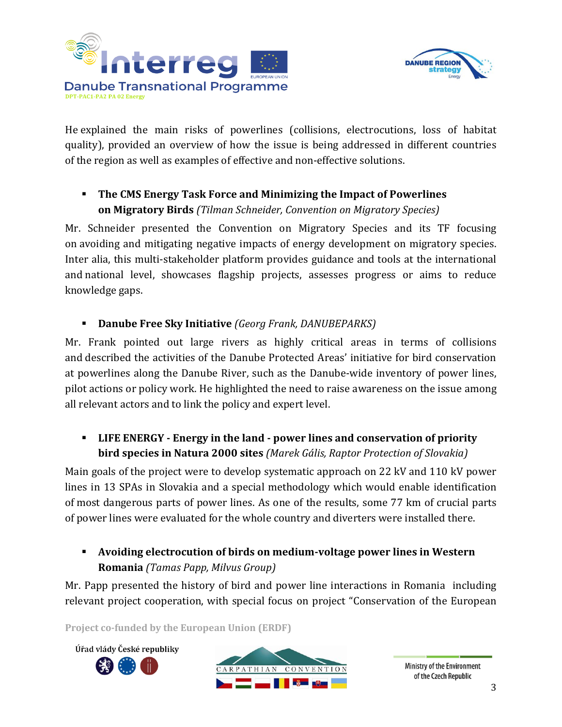



He explained the main risks of powerlines (collisions, electrocutions, loss of habitat quality), provided an overview of how the issue is being addressed in different countries of the region as well as examples of effective and non-effective solutions.

▪ **The CMS Energy Task Force and Minimizing the Impact of Powerlines on Migratory Birds** *(Tilman Schneider, Convention on Migratory Species)*

Mr. Schneider presented the Convention on Migratory Species and its TF focusing on avoiding and mitigating negative impacts of energy development on migratory species. Inter alia, this multi-stakeholder platform provides guidance and tools at the international and national level, showcases flagship projects, assesses progress or aims to reduce knowledge gaps.

▪ **Danube Free Sky Initiative** *(Georg Frank, DANUBEPARKS)*

Mr. Frank pointed out large rivers as highly critical areas in terms of collisions and described the activities of the Danube Protected Areas' initiative for bird conservation at powerlines along the Danube River, such as the Danube-wide inventory of power lines, pilot actions or policy work. He highlighted the need to raise awareness on the issue among all relevant actors and to link the policy and expert level.

## ▪ **LIFE ENERGY - Energy in the land - power lines and conservation of priority bird species in Natura 2000 sites** *(Marek Gális, Raptor Protection of Slovakia)*

Main goals of the project were to develop systematic approach on 22 kV and 110 kV power lines in 13 SPAs in Slovakia and a special methodology which would enable identification of most dangerous parts of power lines. As one of the results, some 77 km of crucial parts of power lines were evaluated for the whole country and diverters were installed there.

## ▪ **Avoiding electrocution of birds on medium-voltage power lines in Western Romania** *(Tamas Papp, Milvus Group)*

Mr. Papp presented the history of bird and power line interactions in Romania including relevant project cooperation, with special focus on project "Conservation of the European

**Project co-funded by the European Union (ERDF)**

Úřad vlády České republiky



Ministry of the Environment of the Czech Republic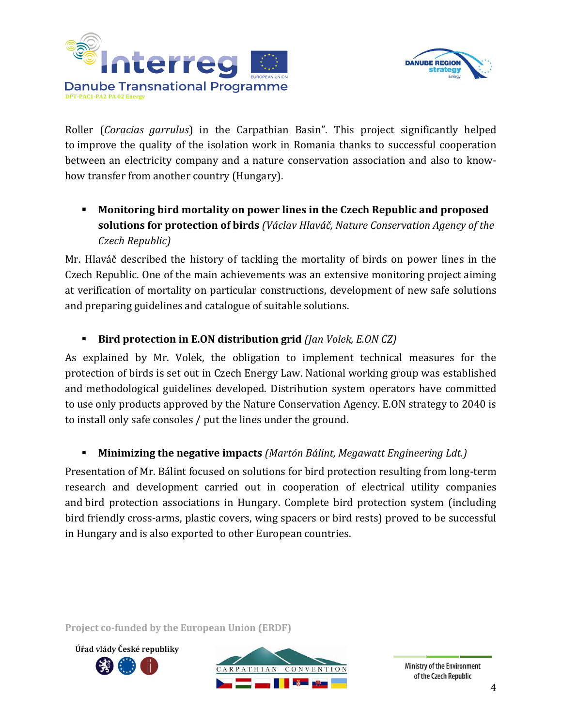



Roller (*Coracias garrulus*) in the Carpathian Basin". This project significantly helped to improve the quality of the isolation work in Romania thanks to successful cooperation between an electricity company and a nature conservation association and also to knowhow transfer from another country (Hungary).

▪ **Monitoring bird mortality on power lines in the Czech Republic and proposed solutions for protection of birds** *(Václav Hlaváč, Nature Conservation Agency of the Czech Republic)*

Mr. Hlaváč described the history of tackling the mortality of birds on power lines in the Czech Republic. One of the main achievements was an extensive monitoring project aiming at verification of mortality on particular constructions, development of new safe solutions and preparing guidelines and catalogue of suitable solutions.

### ▪ **Bird protection in E.ON distribution grid** *(Jan Volek, E.ON CZ)*

As explained by Mr. Volek, the obligation to implement technical measures for the protection of birds is set out in Czech Energy Law. National working group was established and methodological guidelines developed. Distribution system operators have committed to use only products approved by the Nature Conservation Agency. E.ON strategy to 2040 is to install only safe consoles / put the lines under the ground.

#### ▪ **Minimizing the negative impacts** *(Martón Bálint, Megawatt Engineering Ldt.)*

Presentation of Mr. Bálint focused on solutions for bird protection resulting from long-term research and development carried out in cooperation of electrical utility companies and bird protection associations in Hungary. Complete bird protection system (including bird friendly cross-arms, plastic covers, wing spacers or bird rests) proved to be successful in Hungary and is also exported to other European countries.

**Project co-funded by the European Union (ERDF)**





Ministry of the Environment of the Czech Republic